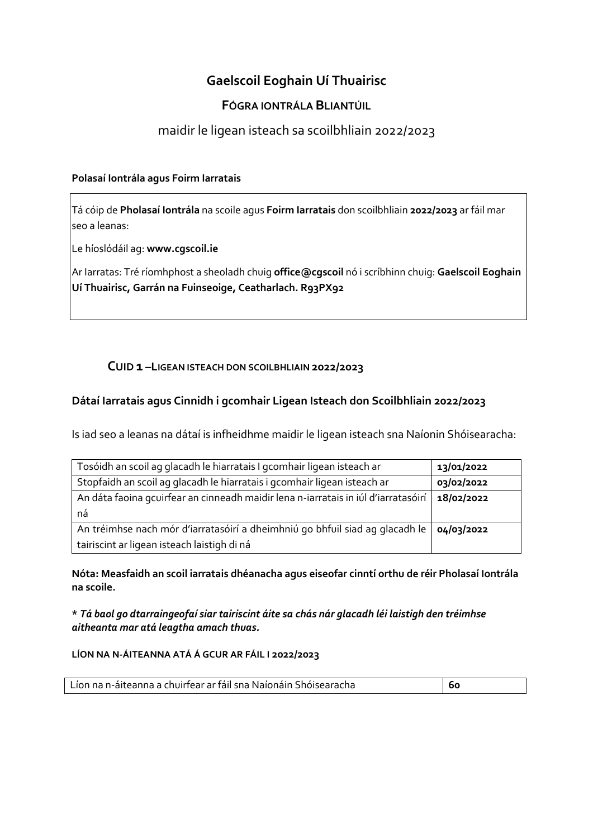# **Gaelscoil Eoghain Uí Thuairisc**

## **FÓGRA IONTRÁLA BLIANTÚIL**

# maidir le ligean isteach sa scoilbhliain 2022/2023

#### **Polasaí Iontrála agus Foirm Iarratais**

Tá cóip de **Pholasaí Iontrála** na scoile agus **Foirm Iarratais** don scoilbhliain **2022/2023** ar fáil mar seo a leanas:

Le híoslódáil ag: **www.cgscoil.ie**

Ar Iarratas: Tré ríomhphost a sheoladh chuig **office@cgscoil** nó i scríbhinn chuig: **Gaelscoil Eoghain Uí Thuairisc, Garrán na Fuinseoige, Ceatharlach. R93PX92**

### **CUID 1 –LIGEAN ISTEACH DON SCOILBHLIAIN 2022/2023**

### **Dátaí Iarratais agus Cinnidh i gcomhair Ligean Isteach don Scoilbhliain 2022/2023**

Is iad seo a leanas na dátaí is infheidhme maidir le ligean isteach sna Naíonin Shóisearacha:

| Tosóidh an scoil ag glacadh le hiarratais I gcomhair ligean isteach ar             | 13/01/2022 |
|------------------------------------------------------------------------------------|------------|
| Stopfaidh an scoil ag glacadh le hiarratais i gcomhair ligean isteach ar           | 03/02/2022 |
| An dáta faoina gcuirfear an cinneadh maidir lena n-iarratais in iúl d'iarratasóirí | 18/02/2022 |
| ná                                                                                 |            |
| An tréimhse nach mór d'iarratasóirí a dheimhniú go bhfuil siad ag glacadh le       | 04/03/2022 |
| tairiscint ar ligean isteach laistigh di ná                                        |            |

**Nóta: Measfaidh an scoil iarratais dhéanacha agus eiseofar cinntí orthu de réir Pholasaí Iontrála na scoile.**

**\*** *Tá baol go dtarraingeofaí siar tairiscint áite sa chás nár glacadh léi laistigh den tréimhse aitheanta mar atá leagtha amach thuas.*

#### **LÍON NA N-ÁITEANNA ATÁ Á GCUR AR FÁIL I 2022/2023**

| Líon na n-áiteanna a chuirfear ar fáil sna Naíonáin Shóisearacha | <b>60</b> |
|------------------------------------------------------------------|-----------|
|                                                                  |           |